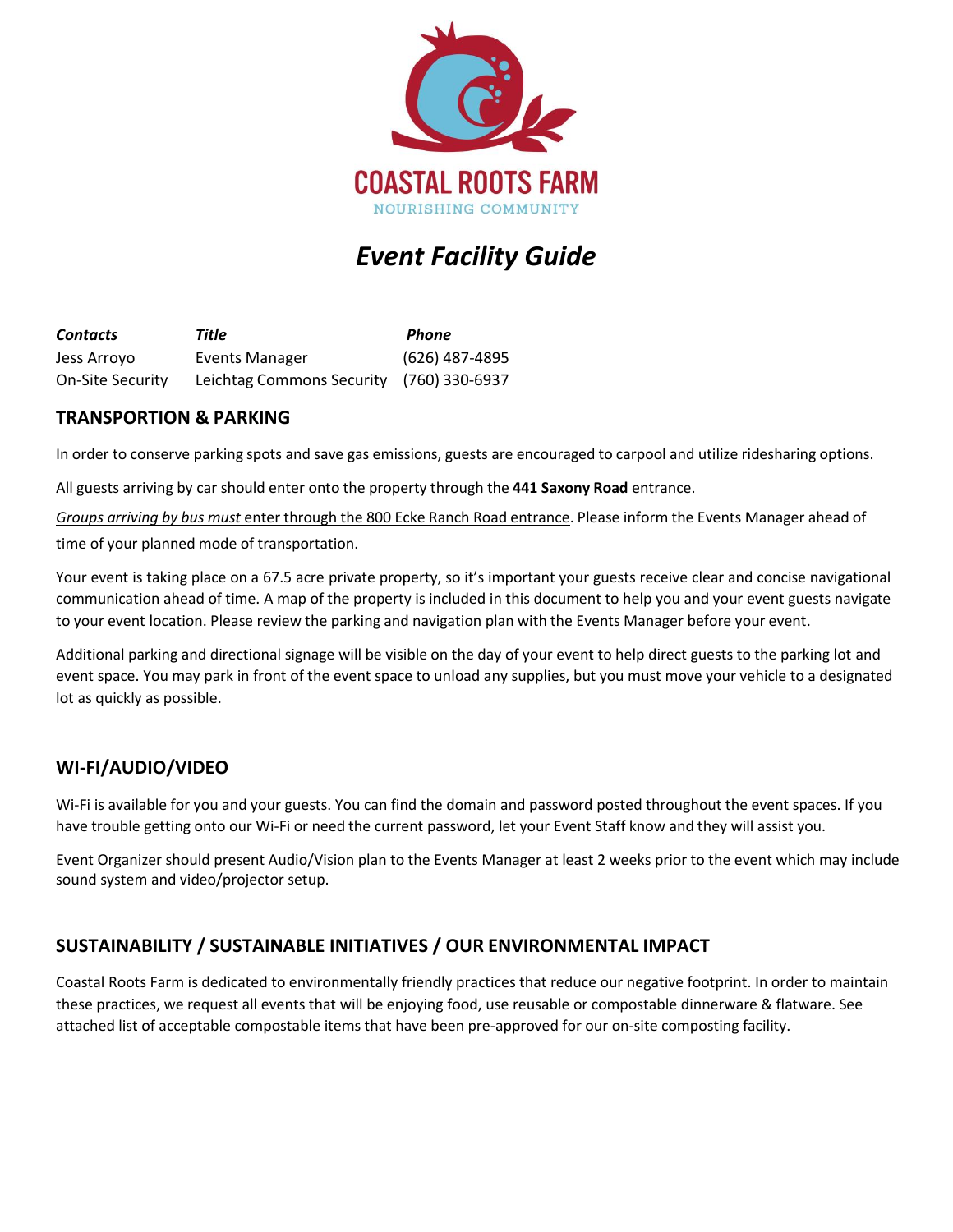

# *Event Facility Guide*

*Contacts*  Jess Arroyo On-Site Security *Title Phone* Events Manager (626) 487-4895 Leichtag Commons Security (760) 330-6937

### **TRANSPORTION & PARKING**

In order to conserve parking spots and save gas emissions, guests are encouraged to carpool and utilize ridesharing options.

All guests arriving by car should enter onto the property through the **441 Saxony Road** entrance.

*Groups arriving by bus must* enter through the 800 Ecke Ranch Road entrance. Please inform the Events Manager ahead of time of your planned mode of transportation.

Your event is taking place on a 67.5 acre private property, so it's important your guests receive clear and concise navigational communication ahead of time. A map of the property is included in this document to help you and your event guests navigate to your event location. Please review the parking and navigation plan with the Events Manager before your event.

Additional parking and directional signage will be visible on the day of your event to help direct guests to the parking lot and event space. You may park in front of the event space to unload any supplies, but you must move your vehicle to a designated lot as quickly as possible.

# **WI-FI/AUDIO/VIDEO**

Wi-Fi is available for you and your guests. You can find the domain and password posted throughout the event spaces. If you have trouble getting onto our Wi-Fi or need the current password, let your Event Staff know and they will assist you.

Event Organizer should present Audio/Vision plan to the Events Manager at least 2 weeks prior to the event which may include sound system and video/projector setup.

# **SUSTAINABILITY / SUSTAINABLE INITIATIVES / OUR ENVIRONMENTAL IMPACT**

Coastal Roots Farm is dedicated to environmentally friendly practices that reduce our negative footprint. In order to maintain these practices, we request all events that will be enjoying food, use reusable or compostable dinnerware & flatware. See attached list of acceptable compostable items that have been pre-approved for our on-site composting facility.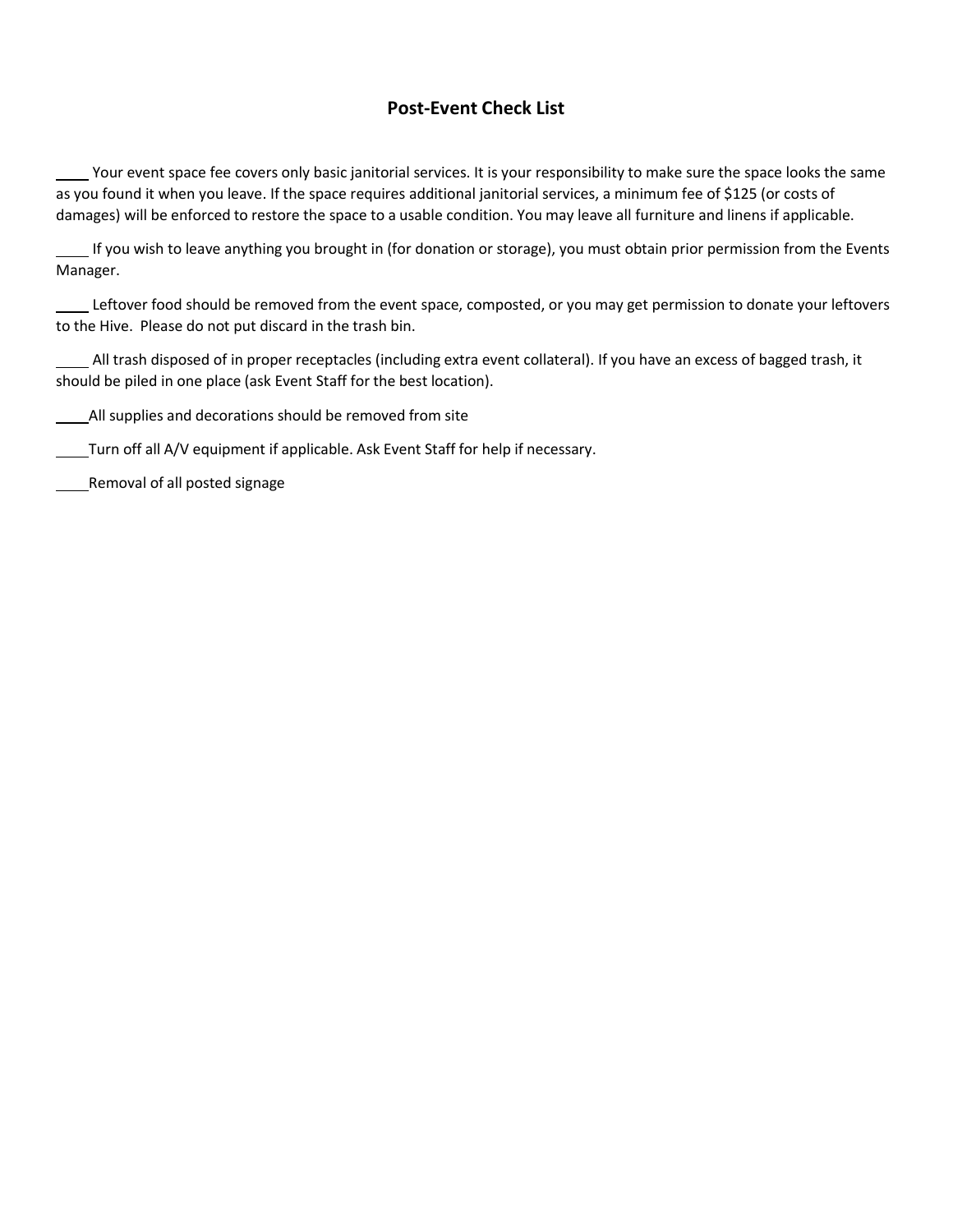### **Post-Event Check List**

Your event space fee covers only basic janitorial services. It is your responsibility to make sure the space looks the same as you found it when you leave. If the space requires additional janitorial services, a minimum fee of \$125 (or costs of damages) will be enforced to restore the space to a usable condition. You may leave all furniture and linens if applicable.

If you wish to leave anything you brought in (for donation or storage), you must obtain prior permission from the Events Manager.

Leftover food should be removed from the event space, composted, or you may get permission to donate your leftovers to the Hive. Please do not put discard in the trash bin.

All trash disposed of in proper receptacles (including extra event collateral). If you have an excess of bagged trash, it should be piled in one place (ask Event Staff for the best location).

All supplies and decorations should be removed from site

Turn off all A/V equipment if applicable. Ask Event Staff for help if necessary.

Removal of all posted signage